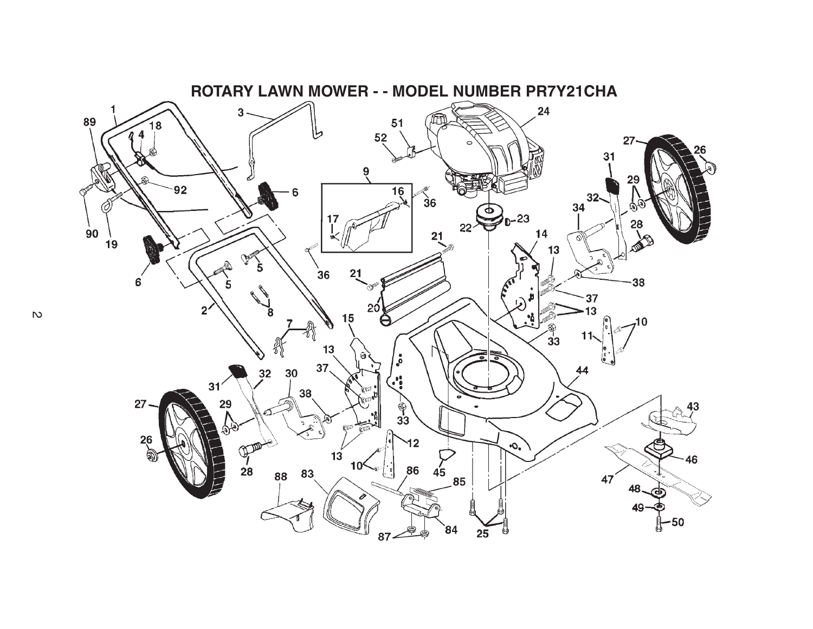

 $\mathbb{R}^2$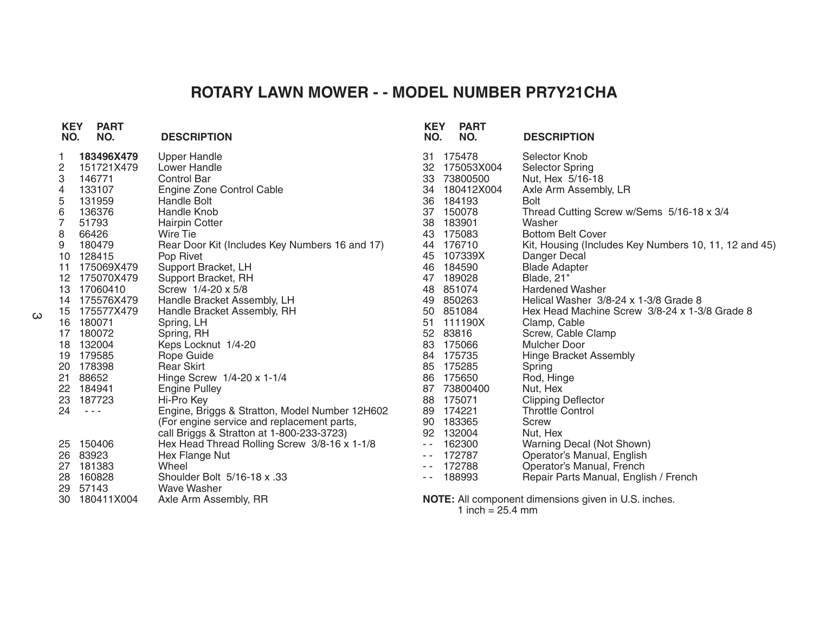## **ROTARY LAWN MOWER - - MODEL NUMBER PR7Y21CHA**

| <b>KEY</b><br>NO. | <b>PART</b><br>NO.   | <b>DESCRIPTION</b>                             | <b>KEY</b><br>NO. | <b>PART</b><br>NO. | <b>DESCRIPTION</b>                                    |
|-------------------|----------------------|------------------------------------------------|-------------------|--------------------|-------------------------------------------------------|
| 1.                | 183496X479           | <b>Upper Handle</b>                            |                   | 31 175478          | Selector Knob                                         |
| 2                 | 151721X479           | Lower Handle                                   | 32                | 175053X004         | <b>Selector Spring</b>                                |
| 3                 | 146771               | <b>Control Bar</b>                             | 33                | 73800500           | Nut, Hex 5/16-18                                      |
| 4                 | 133107               | Engine Zone Control Cable                      | 34                | 180412X004         | Axle Arm Assembly, LR                                 |
| 5                 | 131959               | Handle Bolt                                    | 36                | 184193             | <b>Bolt</b>                                           |
| 6<br>7            | 136376               | Handle Knob                                    | 37                | 150078             | Thread Cutting Screw w/Sems 5/16-18 x 3/4             |
|                   | 51793                | <b>Hairpin Cotter</b>                          | 38                | 183901             | Washer                                                |
| 8                 | 66426                | Wire Tie                                       | 43                | 175083             | <b>Bottom Belt Cover</b>                              |
| 9                 | 180479               | Rear Door Kit (Includes Key Numbers 16 and 17) | 44                | 176710             | Kit, Housing (Includes Key Numbers 10, 11, 12 and 45) |
|                   | 10 128415            | Pop Rivet                                      | 45                | 107339X            | Danger Decal                                          |
| 11                | 175069X479           | Support Bracket, LH                            | 46                | 184590             | <b>Blade Adapter</b>                                  |
|                   | 12 175070X479        | Support Bracket, RH                            | 47                | 189028             | Blade, 21"                                            |
|                   | 13 17060410          | Screw 1/4-20 x 5/8                             |                   | 48 851074          | <b>Hardened Washer</b>                                |
|                   | 14 175576X479        | Handle Bracket Assembly, LH                    |                   | 49 850263          | Helical Washer 3/8-24 x 1-3/8 Grade 8                 |
|                   | 15 175577X479        | Handle Bracket Assembly, RH                    | 50                | 851084             | Hex Head Machine Screw 3/8-24 x 1-3/8 Grade 8         |
|                   | 16 180071            | Spring, LH                                     | 51                | 111190X            | Clamp, Cable                                          |
|                   | 17 180072            | Spring, RH                                     | 52                | 83816              | Screw, Cable Clamp                                    |
| 18                | 132004               | Keps Locknut 1/4-20                            | 83                | 175066             | Mulcher Door                                          |
|                   | 19 179585            | Rope Guide                                     |                   | 84 175735          | <b>Hinge Bracket Assembly</b>                         |
|                   | 20 178398            | <b>Rear Skirt</b>                              | 85                | 175285             | Spring                                                |
| 21                | 88652                | Hinge Screw 1/4-20 x 1-1/4                     | 86                | 175650             | Rod, Hinge                                            |
| 22                | 184941               | <b>Engine Pulley</b>                           | 87                | 73800400           | Nut, Hex                                              |
| 23                | 187723               | Hi-Pro Key                                     | 88                | 175071             | <b>Clipping Deflector</b>                             |
| 24                | $\sim$ $\sim$ $\sim$ | Engine, Briggs & Stratton, Model Number 12H602 | 89                | 174221             | <b>Throttle Control</b>                               |
|                   |                      | (For engine service and replacement parts,     | 90                | 183365             | Screw                                                 |
|                   |                      | call Briggs & Stratton at 1-800-233-3723)      | 92                | 132004             | Nut, Hex                                              |
|                   | 25 150406            | Hex Head Thread Rolling Screw 3/8-16 x 1-1/8   | $\sim$ $-$        | 162300             | Warning Decal (Not Shown)                             |
|                   | 26 83923             | Hex Flange Nut                                 |                   | 172787             | Operator's Manual, English                            |
| 27                | 181383               | Wheel                                          |                   | 172788             | Operator's Manual, French                             |
| 28                | 160828               | Shoulder Bolt 5/16-18 x .33                    | $ -$              | 188993             | Repair Parts Manual, English / French                 |
| 29                | 57143                | <b>Wave Washer</b>                             |                   |                    |                                                       |
|                   | 30 180411X004        | Axle Arm Assembly, RR                          |                   |                    | NOTE: All component dimensions given in U.S. inches.  |

1 inch = 25.4 mm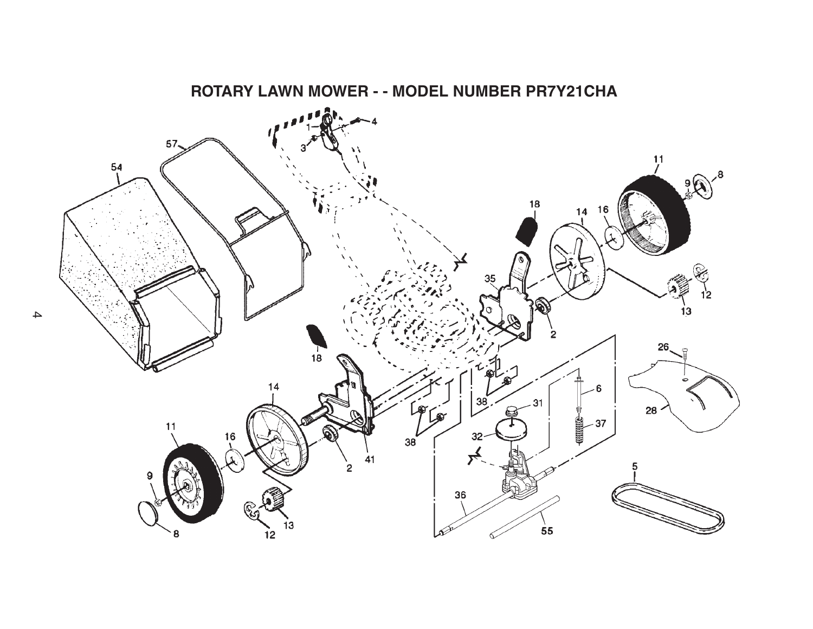

4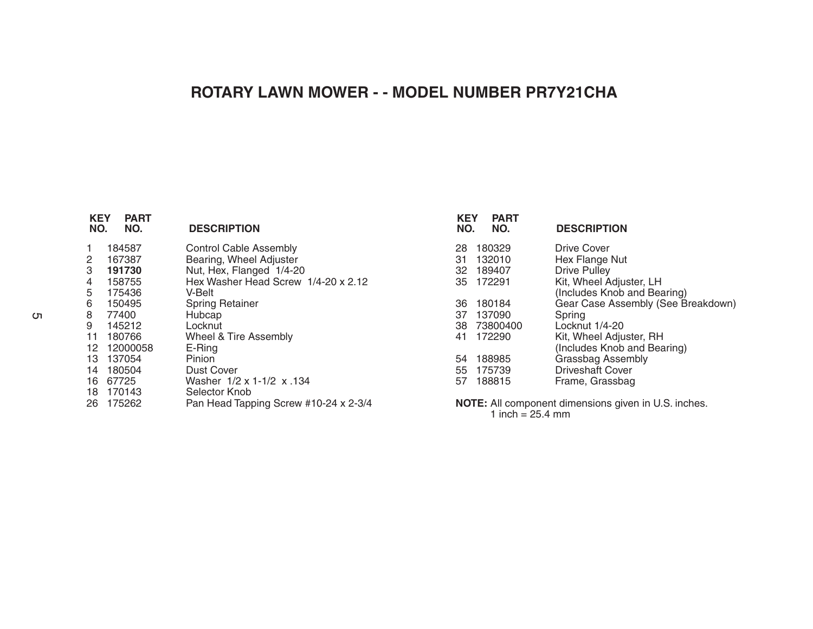## **ROTARY LAWN MOWER - - MODEL NUMBER PR7Y21CHA**

| <b>PART</b><br>NO. | <b>DESCRIPTION</b>                    | <b>KEY</b><br><b>PART</b><br>NO.<br>NO. | <b>DESCRIPTION</b>                                          |
|--------------------|---------------------------------------|-----------------------------------------|-------------------------------------------------------------|
| 184587             | <b>Control Cable Assembly</b>         | 180329<br>28                            | Drive Cover                                                 |
| 167387             | Bearing, Wheel Adjuster               | 132010<br>31                            | Hex Flange Nut                                              |
| 191730             | Nut, Hex, Flanged 1/4-20              | 189407<br>32                            | <b>Drive Pulley</b>                                         |
| 158755             | Hex Washer Head Screw 1/4-20 x 2.12   | 172291<br>35                            | Kit, Wheel Adjuster, LH                                     |
| 175436             | V-Belt                                |                                         | (Includes Knob and Bearing)                                 |
| 150495             |                                       | 180184<br>36                            | Gear Case Assembly (See Breakdown)                          |
| 77400              | Hubcap                                | 137090<br>37                            | Spring                                                      |
| 145212             | Locknut                               | 73800400<br>38                          | Locknut 1/4-20                                              |
| 180766             | Wheel & Tire Assembly                 | 172290<br>41                            | Kit, Wheel Adjuster, RH                                     |
| 12000058           | $E-Ring$                              |                                         | (Includes Knob and Bearing)                                 |
| 137054             | Pinion                                | 188985<br>54                            | Grassbag Assembly                                           |
| 180504             | Dust Cover                            | 175739<br>55                            | <b>Driveshaft Cover</b>                                     |
| 67725              | Washer 1/2 x 1-1/2 x .134             | 188815<br>57                            | Frame, Grassbag                                             |
| 170143             | Selector Knob                         |                                         |                                                             |
| 175262             | Pan Head Tapping Screw #10-24 x 2-3/4 |                                         | <b>NOTE:</b> All component dimensions given in U.S. inches. |
|                    | <b>KEY</b><br>NO.<br>12.<br>16<br>26  | <b>Spring Retainer</b>                  |                                                             |

1 inch = 25.4 mm